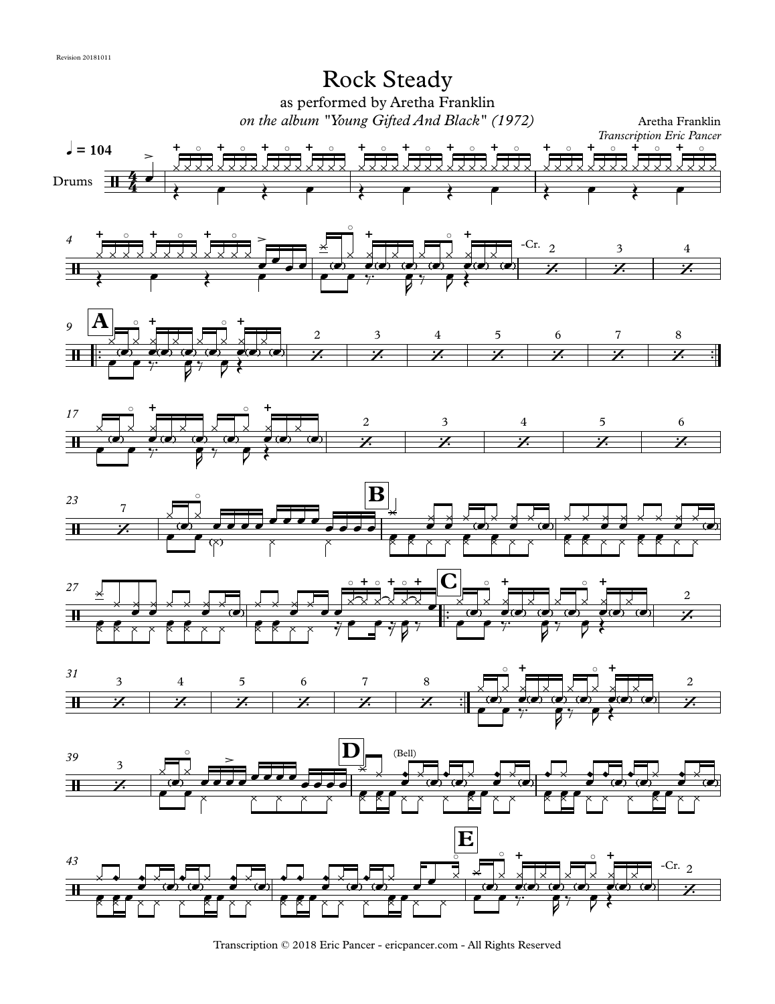

Transcription © 2018 Eric Pancer - ericpancer.com - All Rights Reserved